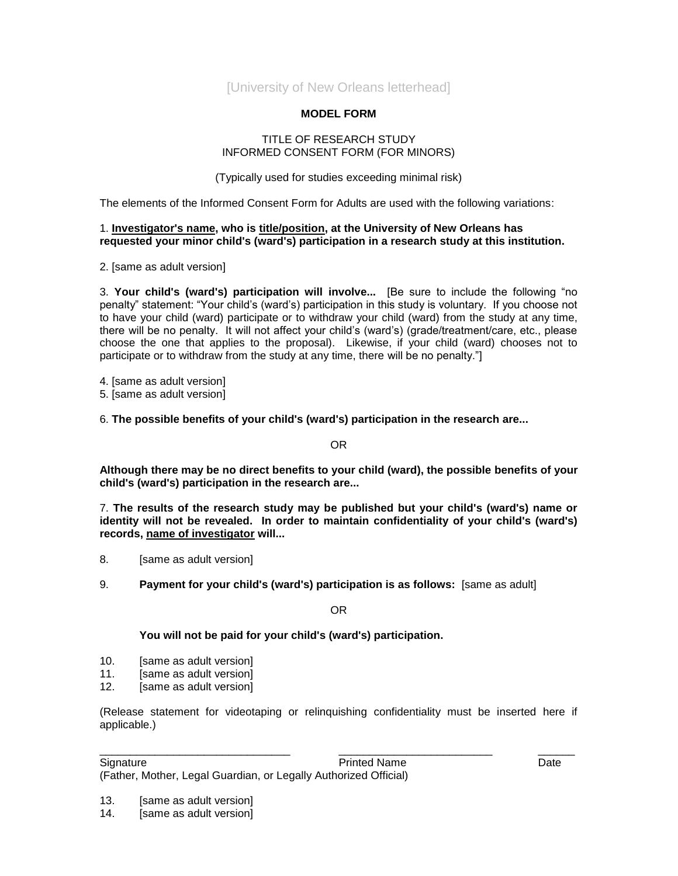[University of New Orleans letterhead]

## **MODEL FORM**

## TITLE OF RESEARCH STUDY INFORMED CONSENT FORM (FOR MINORS)

(Typically used for studies exceeding minimal risk)

The elements of the Informed Consent Form for Adults are used with the following variations:

## 1. **Investigator's name, who is title/position, at the University of New Orleans has requested your minor child's (ward's) participation in a research study at this institution.**

2. [same as adult version]

3. **Your child's (ward's) participation will involve...** [Be sure to include the following "no penalty" statement: "Your child's (ward's) participation in this study is voluntary. If you choose not to have your child (ward) participate or to withdraw your child (ward) from the study at any time, there will be no penalty. It will not affect your child's (ward's) (grade/treatment/care, etc., please choose the one that applies to the proposal). Likewise, if your child (ward) chooses not to participate or to withdraw from the study at any time, there will be no penalty."]

4. [same as adult version]

- 5. [same as adult version]
- 6. **The possible benefits of your child's (ward's) participation in the research are...**

OR

**Although there may be no direct benefits to your child (ward), the possible benefits of your child's (ward's) participation in the research are...**

7. **The results of the research study may be published but your child's (ward's) name or identity will not be revealed. In order to maintain confidentiality of your child's (ward's) records, name of investigator will...** 

- 8. [same as adult version]
- 9. **Payment for your child's (ward's) participation is as follows:** [same as adult]

OR

## **You will not be paid for your child's (ward's) participation.**

- 10. [same as adult version]
- 11. [same as adult version]
- 12. [same as adult version]

(Release statement for videotaping or relinquishing confidentiality must be inserted here if applicable.)

\_\_\_\_\_\_\_\_\_\_\_\_\_\_\_\_\_\_\_\_\_\_\_\_\_\_\_\_\_\_\_ \_\_\_\_\_\_\_\_\_\_\_\_\_\_\_\_\_\_\_\_\_\_\_\_\_ \_\_\_\_\_\_

Signature **Date Printed Name Printed Name Date Date** (Father, Mother, Legal Guardian, or Legally Authorized Official)

14. [same as adult version]

<sup>13.</sup> [same as adult version]